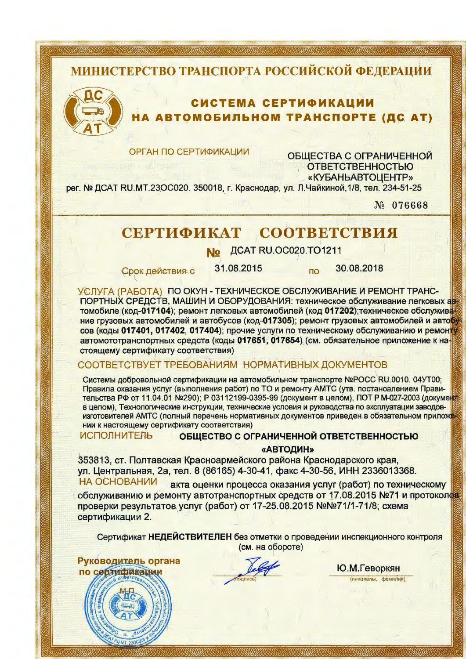# МИНИСТЕРСТВО ТРАНСПОРТА РОССИЙСКОЙ ФЕДЕРАЦИИ



## СИСТЕМА СЕРТИФИКАЦИИ **АВТОМОБИЛЬНОМ ТРАНСПОРТЕ (ДС АТ)**

**ОРГАН ПО СЕРТИФИКАЦИИ** 

ОБЩЕСТВА С ОГРАНИЧЕННОЙ **ОТВЕТСТВЕННОСТЬЮ** «КУБАНЬАВТОЦЕНТР»

рег. № ДСАТ RU.MT.23ОС020. 350018, г. Краснодар, ул. Л.Чайкиной, 1/8, тел. 234-51-25

No 076668

#### СЕРТИФИКАТ СООТВЕТСТВИЯ

ДСАТ RU. ОС020. ТО 1211

Срок действия с

31.08.2015

30.08.2018

**no** 

УСЛУГА (РАБОТА) ПО ОКУН - ТЕХНИЧЕСКОЕ ОБСЛУЖИВАНИЕ И РЕМОНТ ТРАНС-ПОРТНЫХ СРЕДСТВ, МАШИН И ОБОРУДОВАНИЯ: техническое обслуживание легковых автомобиле (код-017104); ремонт легковых автомобилей (код 017202); техническое обслужива ние грузовых автомобилей и автобусов (код-017305); ремонт грузовых автомобилей и авто сов (коды 017401, 017402, 017404); прочие услуги по техническому обслуживанию и ремонту автомототранспортных средств (коды 017651, 017654) (см. обязательное приложение к настоящему сертификату соответствия)

## СООТВЕТСТВУЕТ ТРЕБОВАНИЯМ НОРМАТИВНЫХ ДОКУМЕНТОВ

Системы добровольной сертификации на автомобильном транспорте №РОСС RU.0010. 04УТ00; Правила оказания услуг (выполнения работ) по ТО и ремонту АМТС (утв. постановлением Правительства РФ от 11.04.01 №290); Р 03112199-0395-99 (документ в целом), ПОТ Р М-027-2003 (документ в целом), Технологические инструкции, технические условия и руководства по эксплуатации заводовизготовителей АМТС (полный перечень нормативных документов приведен в обязательном приложе нии к настоящему сертификату соответствия)

**ИСПОЛНИТЕЛЬ** ОБШЕСТВО С ОГРАНИЧЕННОЙ ОТВЕТСТВЕННОСТЬЮ

### «АВТОДИН»

353813, ст. Полтавская Красноармейского района Краснодарского края, ул. Центральная, 2а, тел. 8 (86165) 4-30-41, факс 4-30-56, ИНН 2336013368. **НА ОСНОВАНИИ** акта оценки процесса оказания услуг (работ) по техническому

обслуживанию и ремонту автотранспортных средств от 17.08.2015 №71 и протоколов проверки результатов услуг (работ) от 17-25.08.2015 №№71/1-71/8; схема сертификации 2.

Сертификат НЕДЕЙСТВИТЕЛЕН без отметки о проведении инспекционного контроля (см. на обороте)

Руководитель органа по себтификации

Ю.М.Геворкян (инициалы, фамилия)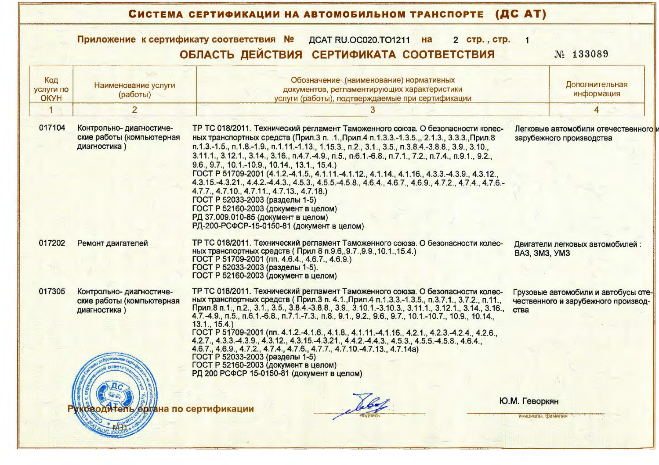| Приложение к сертификату соответствия №<br>ДСАТ RU.OC020.TO1211 на<br>2 стр., стр. |                                                                       |                                                                                                                                                                                                                                                                                                                                                                                                                                                                                                                                                                                                                                                                                                                                                                                                                                                                    |                                                  |                                                                            |  |  |
|------------------------------------------------------------------------------------|-----------------------------------------------------------------------|--------------------------------------------------------------------------------------------------------------------------------------------------------------------------------------------------------------------------------------------------------------------------------------------------------------------------------------------------------------------------------------------------------------------------------------------------------------------------------------------------------------------------------------------------------------------------------------------------------------------------------------------------------------------------------------------------------------------------------------------------------------------------------------------------------------------------------------------------------------------|--------------------------------------------------|----------------------------------------------------------------------------|--|--|
|                                                                                    |                                                                       | ОБЛАСТЬ ДЕЙСТВИЯ СЕРТИФИКАТА СООТВЕТСТВИЯ                                                                                                                                                                                                                                                                                                                                                                                                                                                                                                                                                                                                                                                                                                                                                                                                                          |                                                  | No 133089                                                                  |  |  |
| Код<br><b>УСЛУГИ ПО</b><br><b>OKYH</b>                                             | Наименование услуги<br>(работы)                                       | Обозначение (наименование) нормативных<br>документов, регламентирующих характеристики<br>услуги (работы), подтверждаемые при сертификации                                                                                                                                                                                                                                                                                                                                                                                                                                                                                                                                                                                                                                                                                                                          |                                                  | Дополнительная<br>информация                                               |  |  |
|                                                                                    | $\overline{2}$                                                        | 3                                                                                                                                                                                                                                                                                                                                                                                                                                                                                                                                                                                                                                                                                                                                                                                                                                                                  |                                                  |                                                                            |  |  |
| 017104                                                                             | Контрольно- диагностиче-<br>ские работы (компьютерная<br>диагностика) | ТР ТС 018/2011. Технический регламент Таможенного союза. О безопасности колес-<br>ных транспортных средств (Прил.3 п. .1., Прил.4 п. 1.3.3.-1.3.5.,, 2.1.3., 3.3.3., Прил.8<br>п.1.3.-1.5., п.1.8.-1.9., п.1.11.-1.13., 1.15.3., п.2., 3.1., 3.5., п.3.8.4.-3.8.8., 3.9., 3.10.,<br>3.11.1., 3.12.1., 3.14., 3.16., п.4.7.-4.9., п.5., п.6.1.-6.8., п.7.1., 7.2., п.7.4., п.9.1., 9.2.,<br>9.6., 9.7., 10.1.-10.9., 10.14., 13.1., 15.4.)<br>FOCT P 51709-2001 (4.1.2.-4.1.5., 4.1.11.-4.1.12., 4.1.14., 4.1.16., 4.3.3.-4.3.9., 4.3.12.,<br>4.3.15. 4.3.21., 4.4.2. 4.4.3., 4.5.3., 4.5.5. -4.5.8., 4.6.4., 4.6.7., 4.6.9., 4.7.2., 4.7.4., 4.7.6.<br>4.7.7., 4.7.10., 4.7.11., 4.7.13., 4.7.18.)<br>ГОСТ Р 52033-2003 (разделы 1-5)<br>ГОСТ Р 52160-2003 (документ в целом)<br>РД 37.009.010-85 (документ в целом)<br>РД-200-РСФСР-15-0150-81 (документ в целом) |                                                  | Легковые автомобили отечественного<br>зарубежного производства             |  |  |
| 017202                                                                             | Ремонт двигателей                                                     | ТР ТС 018/2011. Технический регламент Таможенного союза. О безопасности колес-<br>ных транспортных средств (Прил 8 п.9.6, 9.7., 9.9., 10.1., 15.4.)<br>ГОСТ Р 51709-2001 (пп. 4.6.4., 4.6.7., 4.6.9.)<br>ГОСТ Р 52033-2003 (разделы 1-5).<br>ГОСТ Р 52160-2003 (документ в целом)                                                                                                                                                                                                                                                                                                                                                                                                                                                                                                                                                                                  | Двигатели легковых автомобилей:<br>BA3, 3M3, YM3 |                                                                            |  |  |
| 017305                                                                             | Контрольно- диагностиче-<br>ские работы (компьютерная<br>диагностика) | ТР ТС 018/2011. Технический регламент Таможенного союза. О безопасности колес-<br>ных транспортных средств (Прил.3 п. 4.1., Прил.4 п.1.3.3.-1.3.5., п.3.7.1., 3.7.2., п.11.,<br>Прил.8 п.1., п.2., 3.1., 3.5., 3.8.4.-3.8.8., 3.9., 3.10.1.-3.10.3., 3.11.1., 3.12.1., 3.14., 3.16.,<br>4.7. -4.9., п.5., п.6.1. -6.8., п.7.1. -7.3., п.8., 9.1., 9.2., 9.6., 9.7., 10.1. -10.7., 10.9., 10.14.,<br>13.1., 15.4.)                                                                                                                                                                                                                                                                                                                                                                                                                                                  | ства                                             | Грузовые автомобили и автобусы оте-<br>чественного и зарубежного производ- |  |  |
|                                                                                    |                                                                       | ГОСТ Р 51709-2001 (пп. 4.1.2.-4.1.6., 4.1.8., 4.1.11.-4.1.16., 4.2.1., 4.2.3.-4.2.4., 4.2.6.,<br>4.2.7., 4.3.3. 4.3.9., 4.3.12., 4.3.15. 4.3.21., 4.4.2. -4.4.3., 4.5.3., 4.5.5. -4.5.8., 4.6.4.,<br>4.6.7., 4.6.9., 4.7.2., 4.7.4., 4.7.6., 4.7.7., 4.7.10. -4.7.13., 4.7.14a)<br>ГОСТ Р 52033-2003 (разделы 1-5)<br>ГОСТ Р 52160-2003 (документ в целом)<br>РД 200 РСФСР 15-0150-81 (документ в целом)                                                                                                                                                                                                                                                                                                                                                                                                                                                           |                                                  |                                                                            |  |  |
|                                                                                    |                                                                       | органа по сертификации                                                                                                                                                                                                                                                                                                                                                                                                                                                                                                                                                                                                                                                                                                                                                                                                                                             | Ю.М. Геворкян<br>инициалы, озамилия              |                                                                            |  |  |